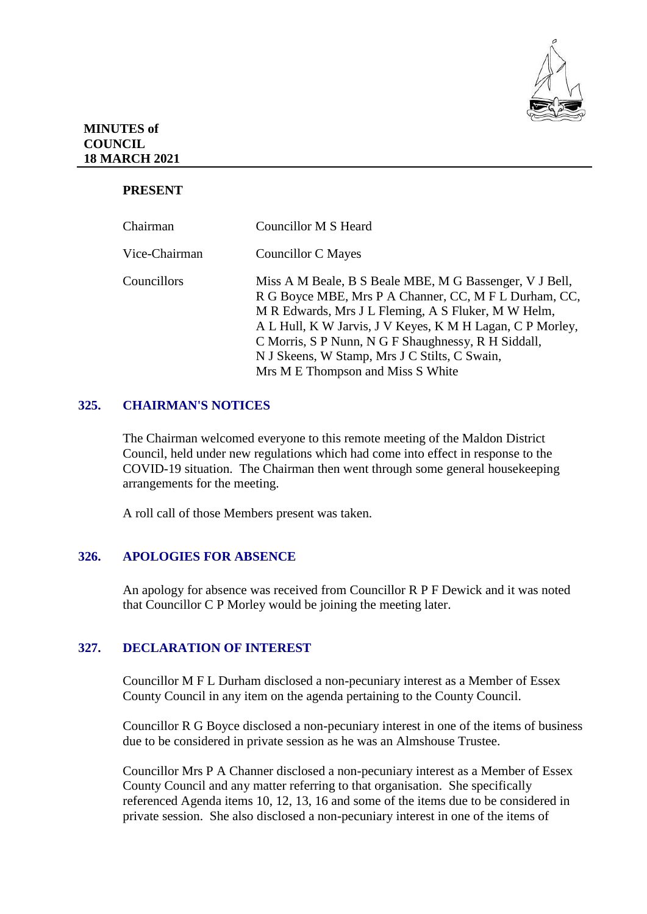

## **MINUTES of COUNCIL 18 MARCH 2021**

# **PRESENT**

| Chairman      | Councillor M S Heard                                                                                                                                                                                                                                                                                                                                                              |
|---------------|-----------------------------------------------------------------------------------------------------------------------------------------------------------------------------------------------------------------------------------------------------------------------------------------------------------------------------------------------------------------------------------|
| Vice-Chairman | Councillor C Mayes                                                                                                                                                                                                                                                                                                                                                                |
| Councillors   | Miss A M Beale, B S Beale MBE, M G Bassenger, V J Bell,<br>R G Boyce MBE, Mrs P A Channer, CC, M F L Durham, CC,<br>M R Edwards, Mrs J L Fleming, A S Fluker, M W Helm,<br>A L Hull, K W Jarvis, J V Keyes, K M H Lagan, C P Morley,<br>C Morris, S P Nunn, N G F Shaughnessy, R H Siddall,<br>N J Skeens, W Stamp, Mrs J C Stilts, C Swain,<br>Mrs M E Thompson and Miss S White |

# **325. CHAIRMAN'S NOTICES**

The Chairman welcomed everyone to this remote meeting of the Maldon District Council, held under new regulations which had come into effect in response to the COVID-19 situation. The Chairman then went through some general housekeeping arrangements for the meeting.

A roll call of those Members present was taken.

# **326. APOLOGIES FOR ABSENCE**

An apology for absence was received from Councillor R P F Dewick and it was noted that Councillor C P Morley would be joining the meeting later.

# **327. DECLARATION OF INTEREST**

Councillor M F L Durham disclosed a non-pecuniary interest as a Member of Essex County Council in any item on the agenda pertaining to the County Council.

Councillor R G Boyce disclosed a non-pecuniary interest in one of the items of business due to be considered in private session as he was an Almshouse Trustee.

Councillor Mrs P A Channer disclosed a non-pecuniary interest as a Member of Essex County Council and any matter referring to that organisation. She specifically referenced Agenda items 10, 12, 13, 16 and some of the items due to be considered in private session. She also disclosed a non-pecuniary interest in one of the items of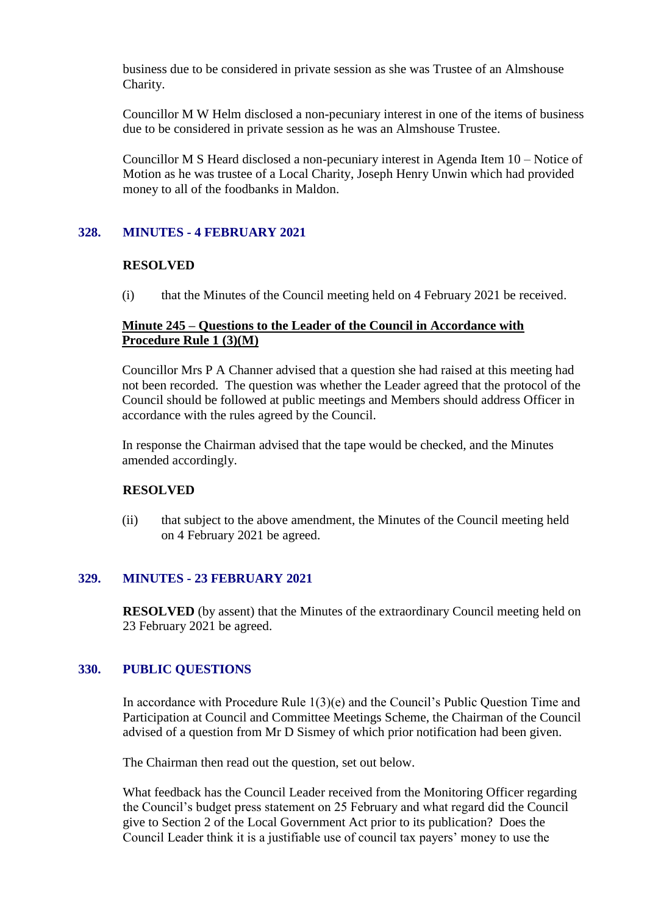business due to be considered in private session as she was Trustee of an Almshouse Charity.

Councillor M W Helm disclosed a non-pecuniary interest in one of the items of business due to be considered in private session as he was an Almshouse Trustee.

Councillor M S Heard disclosed a non-pecuniary interest in Agenda Item 10 – Notice of Motion as he was trustee of a Local Charity, Joseph Henry Unwin which had provided money to all of the foodbanks in Maldon.

### **328. MINUTES - 4 FEBRUARY 2021**

#### **RESOLVED**

(i) that the Minutes of the Council meeting held on 4 February 2021 be received.

### **Minute 245 – Questions to the Leader of the Council in Accordance with Procedure Rule 1 (3)(M)**

Councillor Mrs P A Channer advised that a question she had raised at this meeting had not been recorded. The question was whether the Leader agreed that the protocol of the Council should be followed at public meetings and Members should address Officer in accordance with the rules agreed by the Council.

In response the Chairman advised that the tape would be checked, and the Minutes amended accordingly.

#### **RESOLVED**

(ii) that subject to the above amendment, the Minutes of the Council meeting held on 4 February 2021 be agreed.

# **329. MINUTES - 23 FEBRUARY 2021**

**RESOLVED** (by assent) that the Minutes of the extraordinary Council meeting held on 23 February 2021 be agreed.

#### **330. PUBLIC QUESTIONS**

In accordance with Procedure Rule 1(3)(e) and the Council's Public Question Time and Participation at Council and Committee Meetings Scheme, the Chairman of the Council advised of a question from Mr D Sismey of which prior notification had been given.

The Chairman then read out the question, set out below.

What feedback has the Council Leader received from the Monitoring Officer regarding the Council's budget press statement on 25 February and what regard did the Council give to Section 2 of the Local Government Act prior to its publication? Does the Council Leader think it is a justifiable use of council tax payers' money to use the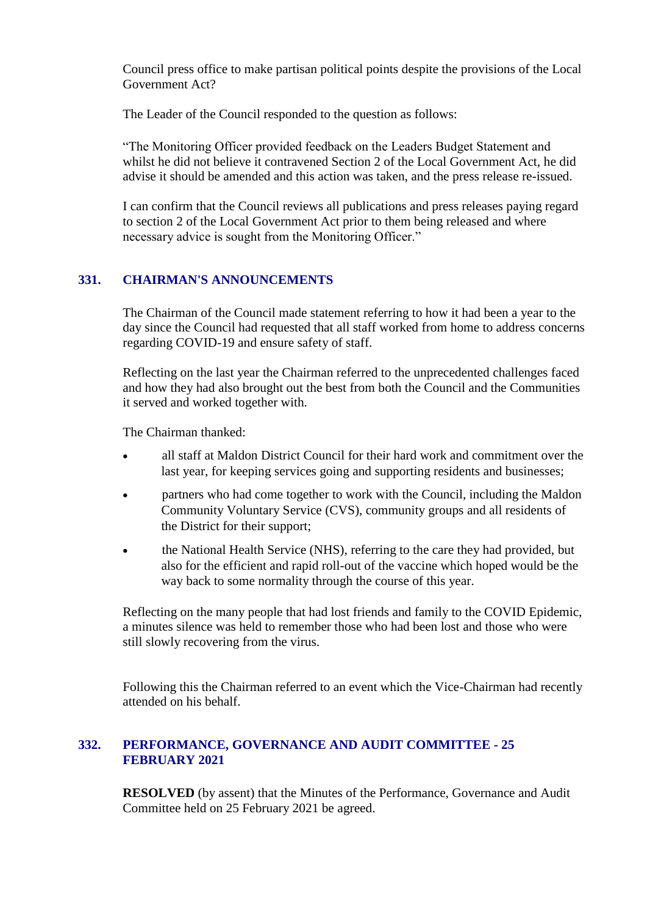Council press office to make partisan political points despite the provisions of the Local Government Act?

The Leader of the Council responded to the question as follows:

"The Monitoring Officer provided feedback on the Leaders Budget Statement and whilst he did not believe it contravened Section 2 of the Local Government Act, he did advise it should be amended and this action was taken, and the press release re-issued.

I can confirm that the Council reviews all publications and press releases paying regard to section 2 of the Local Government Act prior to them being released and where necessary advice is sought from the Monitoring Officer."

# **331. CHAIRMAN'S ANNOUNCEMENTS**

The Chairman of the Council made statement referring to how it had been a year to the day since the Council had requested that all staff worked from home to address concerns regarding COVID-19 and ensure safety of staff.

Reflecting on the last year the Chairman referred to the unprecedented challenges faced and how they had also brought out the best from both the Council and the Communities it served and worked together with.

The Chairman thanked:

- all staff at Maldon District Council for their hard work and commitment over the last year, for keeping services going and supporting residents and businesses;
- partners who had come together to work with the Council, including the Maldon Community Voluntary Service (CVS), community groups and all residents of the District for their support;
- the National Health Service (NHS), referring to the care they had provided, but also for the efficient and rapid roll-out of the vaccine which hoped would be the way back to some normality through the course of this year.

Reflecting on the many people that had lost friends and family to the COVID Epidemic, a minutes silence was held to remember those who had been lost and those who were still slowly recovering from the virus.

Following this the Chairman referred to an event which the Vice-Chairman had recently attended on his behalf.

# **332. PERFORMANCE, GOVERNANCE AND AUDIT COMMITTEE - 25 FEBRUARY 2021**

**RESOLVED** (by assent) that the Minutes of the Performance, Governance and Audit Committee held on 25 February 2021 be agreed.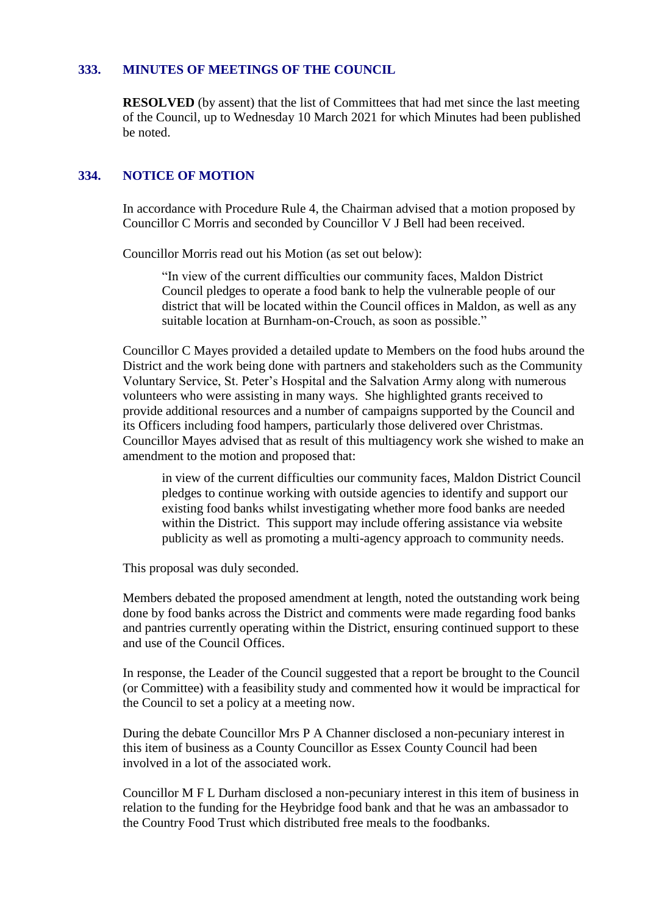#### **333. MINUTES OF MEETINGS OF THE COUNCIL**

**RESOLVED** (by assent) that the list of Committees that had met since the last meeting of the Council, up to Wednesday 10 March 2021 for which Minutes had been published be noted.

#### **334. NOTICE OF MOTION**

In accordance with Procedure Rule 4, the Chairman advised that a motion proposed by Councillor C Morris and seconded by Councillor V J Bell had been received.

Councillor Morris read out his Motion (as set out below):

"In view of the current difficulties our community faces, Maldon District Council pledges to operate a food bank to help the vulnerable people of our district that will be located within the Council offices in Maldon, as well as any suitable location at Burnham-on-Crouch, as soon as possible."

Councillor C Mayes provided a detailed update to Members on the food hubs around the District and the work being done with partners and stakeholders such as the Community Voluntary Service, St. Peter's Hospital and the Salvation Army along with numerous volunteers who were assisting in many ways. She highlighted grants received to provide additional resources and a number of campaigns supported by the Council and its Officers including food hampers, particularly those delivered over Christmas. Councillor Mayes advised that as result of this multiagency work she wished to make an amendment to the motion and proposed that:

in view of the current difficulties our community faces, Maldon District Council pledges to continue working with outside agencies to identify and support our existing food banks whilst investigating whether more food banks are needed within the District. This support may include offering assistance via website publicity as well as promoting a multi-agency approach to community needs.

This proposal was duly seconded.

Members debated the proposed amendment at length, noted the outstanding work being done by food banks across the District and comments were made regarding food banks and pantries currently operating within the District, ensuring continued support to these and use of the Council Offices.

In response, the Leader of the Council suggested that a report be brought to the Council (or Committee) with a feasibility study and commented how it would be impractical for the Council to set a policy at a meeting now.

During the debate Councillor Mrs P A Channer disclosed a non-pecuniary interest in this item of business as a County Councillor as Essex County Council had been involved in a lot of the associated work.

Councillor M F L Durham disclosed a non-pecuniary interest in this item of business in relation to the funding for the Heybridge food bank and that he was an ambassador to the Country Food Trust which distributed free meals to the foodbanks.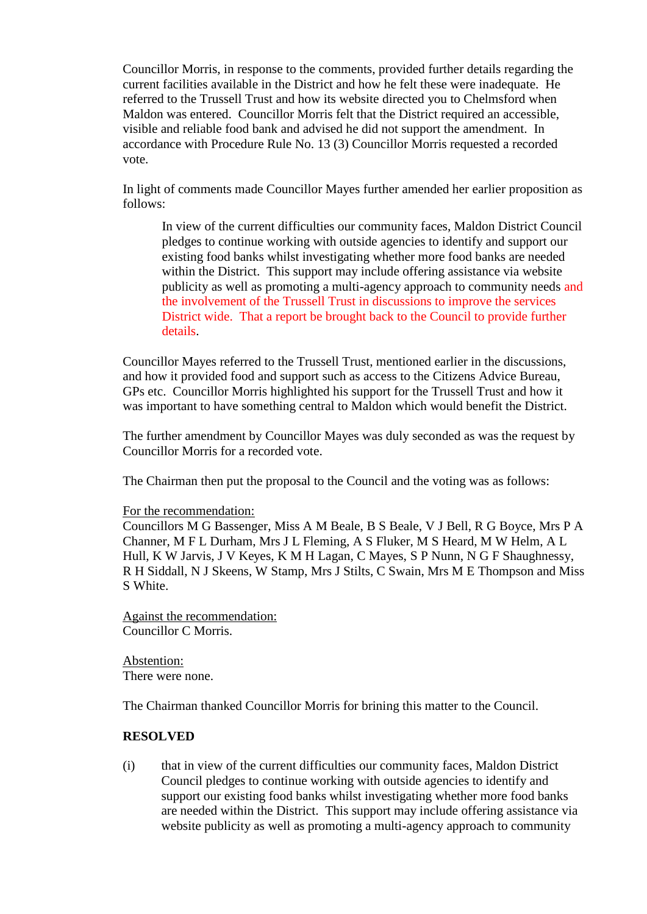Councillor Morris, in response to the comments, provided further details regarding the current facilities available in the District and how he felt these were inadequate. He referred to the Trussell Trust and how its website directed you to Chelmsford when Maldon was entered. Councillor Morris felt that the District required an accessible, visible and reliable food bank and advised he did not support the amendment. In accordance with Procedure Rule No. 13 (3) Councillor Morris requested a recorded vote.

In light of comments made Councillor Mayes further amended her earlier proposition as follows:

In view of the current difficulties our community faces, Maldon District Council pledges to continue working with outside agencies to identify and support our existing food banks whilst investigating whether more food banks are needed within the District. This support may include offering assistance via website publicity as well as promoting a multi-agency approach to community needs and the involvement of the Trussell Trust in discussions to improve the services District wide. That a report be brought back to the Council to provide further details.

Councillor Mayes referred to the Trussell Trust, mentioned earlier in the discussions, and how it provided food and support such as access to the Citizens Advice Bureau, GPs etc. Councillor Morris highlighted his support for the Trussell Trust and how it was important to have something central to Maldon which would benefit the District.

The further amendment by Councillor Mayes was duly seconded as was the request by Councillor Morris for a recorded vote.

The Chairman then put the proposal to the Council and the voting was as follows:

#### For the recommendation:

Councillors M G Bassenger, Miss A M Beale, B S Beale, V J Bell, R G Boyce, Mrs P A Channer, M F L Durham, Mrs J L Fleming, A S Fluker, M S Heard, M W Helm, A L Hull, K W Jarvis, J V Keyes, K M H Lagan, C Mayes, S P Nunn, N G F Shaughnessy, R H Siddall, N J Skeens, W Stamp, Mrs J Stilts, C Swain, Mrs M E Thompson and Miss S White.

Against the recommendation: Councillor C Morris.

Abstention: There were none.

The Chairman thanked Councillor Morris for brining this matter to the Council.

#### **RESOLVED**

(i) that in view of the current difficulties our community faces, Maldon District Council pledges to continue working with outside agencies to identify and support our existing food banks whilst investigating whether more food banks are needed within the District. This support may include offering assistance via website publicity as well as promoting a multi-agency approach to community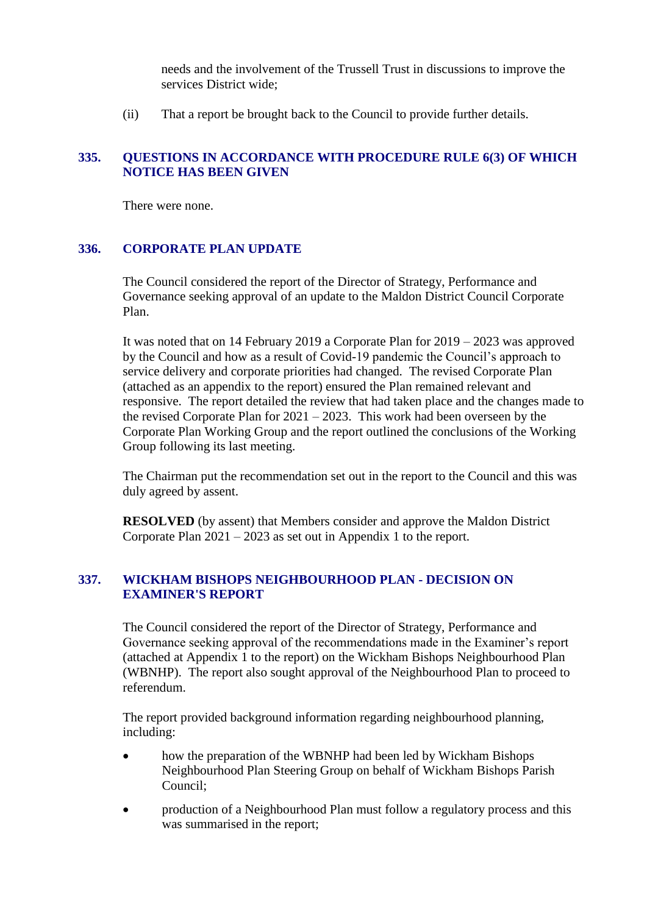needs and the involvement of the Trussell Trust in discussions to improve the services District wide;

(ii) That a report be brought back to the Council to provide further details.

### **335. QUESTIONS IN ACCORDANCE WITH PROCEDURE RULE 6(3) OF WHICH NOTICE HAS BEEN GIVEN**

There were none.

# **336. CORPORATE PLAN UPDATE**

The Council considered the report of the Director of Strategy, Performance and Governance seeking approval of an update to the Maldon District Council Corporate Plan.

It was noted that on 14 February 2019 a Corporate Plan for 2019 – 2023 was approved by the Council and how as a result of Covid-19 pandemic the Council's approach to service delivery and corporate priorities had changed. The revised Corporate Plan (attached as an appendix to the report) ensured the Plan remained relevant and responsive. The report detailed the review that had taken place and the changes made to the revised Corporate Plan for  $2021 - 2023$ . This work had been overseen by the Corporate Plan Working Group and the report outlined the conclusions of the Working Group following its last meeting.

The Chairman put the recommendation set out in the report to the Council and this was duly agreed by assent.

**RESOLVED** (by assent) that Members consider and approve the Maldon District Corporate Plan 2021 – 2023 as set out in Appendix 1 to the report.

### **337. WICKHAM BISHOPS NEIGHBOURHOOD PLAN - DECISION ON EXAMINER'S REPORT**

The Council considered the report of the Director of Strategy, Performance and Governance seeking approval of the recommendations made in the Examiner's report (attached at Appendix 1 to the report) on the Wickham Bishops Neighbourhood Plan (WBNHP). The report also sought approval of the Neighbourhood Plan to proceed to referendum.

The report provided background information regarding neighbourhood planning, including:

- how the preparation of the WBNHP had been led by Wickham Bishops Neighbourhood Plan Steering Group on behalf of Wickham Bishops Parish Council;
- production of a Neighbourhood Plan must follow a regulatory process and this was summarised in the report;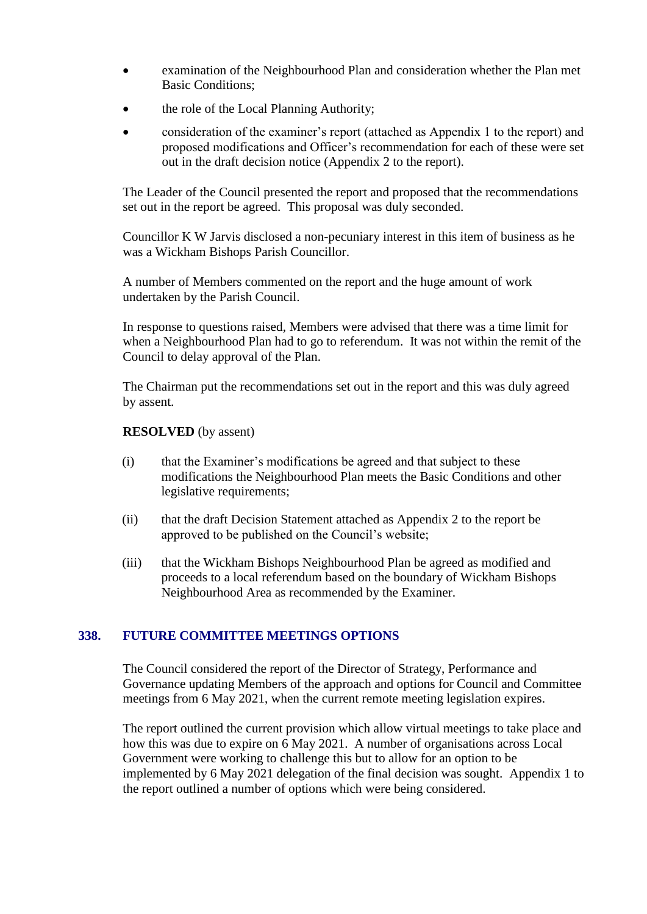- examination of the Neighbourhood Plan and consideration whether the Plan met Basic Conditions;
- the role of the Local Planning Authority;
- consideration of the examiner's report (attached as Appendix 1 to the report) and proposed modifications and Officer's recommendation for each of these were set out in the draft decision notice (Appendix 2 to the report).

The Leader of the Council presented the report and proposed that the recommendations set out in the report be agreed. This proposal was duly seconded.

Councillor K W Jarvis disclosed a non-pecuniary interest in this item of business as he was a Wickham Bishops Parish Councillor.

A number of Members commented on the report and the huge amount of work undertaken by the Parish Council.

In response to questions raised, Members were advised that there was a time limit for when a Neighbourhood Plan had to go to referendum. It was not within the remit of the Council to delay approval of the Plan.

The Chairman put the recommendations set out in the report and this was duly agreed by assent.

#### **RESOLVED** (by assent)

- (i) that the Examiner's modifications be agreed and that subject to these modifications the Neighbourhood Plan meets the Basic Conditions and other legislative requirements;
- (ii) that the draft Decision Statement attached as Appendix 2 to the report be approved to be published on the Council's website;
- (iii) that the Wickham Bishops Neighbourhood Plan be agreed as modified and proceeds to a local referendum based on the boundary of Wickham Bishops Neighbourhood Area as recommended by the Examiner.

# **338. FUTURE COMMITTEE MEETINGS OPTIONS**

The Council considered the report of the Director of Strategy, Performance and Governance updating Members of the approach and options for Council and Committee meetings from 6 May 2021, when the current remote meeting legislation expires.

The report outlined the current provision which allow virtual meetings to take place and how this was due to expire on 6 May 2021. A number of organisations across Local Government were working to challenge this but to allow for an option to be implemented by 6 May 2021 delegation of the final decision was sought. Appendix 1 to the report outlined a number of options which were being considered.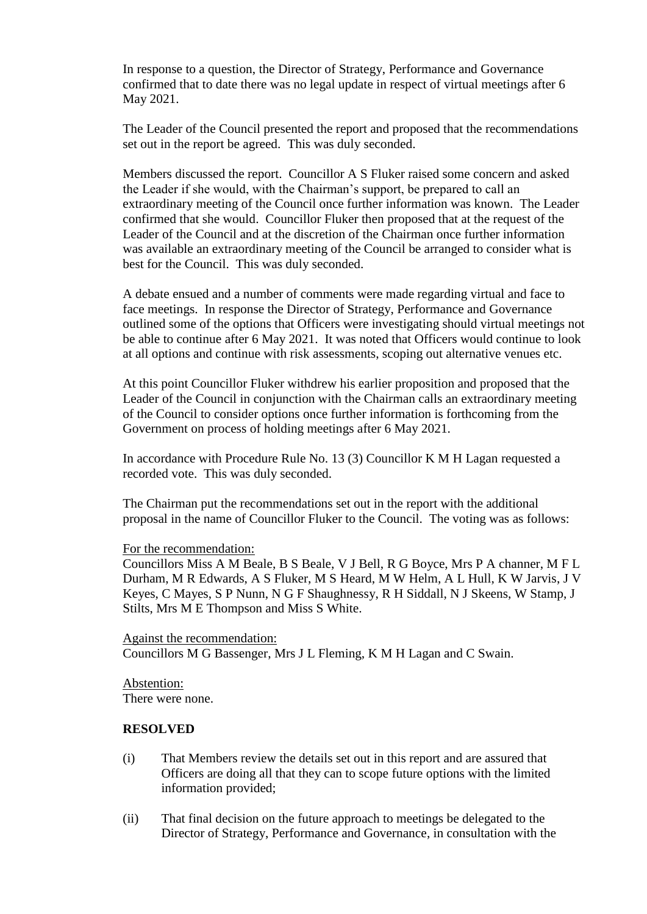In response to a question, the Director of Strategy, Performance and Governance confirmed that to date there was no legal update in respect of virtual meetings after 6 May 2021.

The Leader of the Council presented the report and proposed that the recommendations set out in the report be agreed. This was duly seconded.

Members discussed the report. Councillor A S Fluker raised some concern and asked the Leader if she would, with the Chairman's support, be prepared to call an extraordinary meeting of the Council once further information was known. The Leader confirmed that she would. Councillor Fluker then proposed that at the request of the Leader of the Council and at the discretion of the Chairman once further information was available an extraordinary meeting of the Council be arranged to consider what is best for the Council. This was duly seconded.

A debate ensued and a number of comments were made regarding virtual and face to face meetings. In response the Director of Strategy, Performance and Governance outlined some of the options that Officers were investigating should virtual meetings not be able to continue after 6 May 2021. It was noted that Officers would continue to look at all options and continue with risk assessments, scoping out alternative venues etc.

At this point Councillor Fluker withdrew his earlier proposition and proposed that the Leader of the Council in conjunction with the Chairman calls an extraordinary meeting of the Council to consider options once further information is forthcoming from the Government on process of holding meetings after 6 May 2021.

In accordance with Procedure Rule No. 13 (3) Councillor K M H Lagan requested a recorded vote. This was duly seconded.

The Chairman put the recommendations set out in the report with the additional proposal in the name of Councillor Fluker to the Council. The voting was as follows:

#### For the recommendation:

Councillors Miss A M Beale, B S Beale, V J Bell, R G Boyce, Mrs P A channer, M F L Durham, M R Edwards, A S Fluker, M S Heard, M W Helm, A L Hull, K W Jarvis, J V Keyes, C Mayes, S P Nunn, N G F Shaughnessy, R H Siddall, N J Skeens, W Stamp, J Stilts, Mrs M E Thompson and Miss S White.

Against the recommendation: Councillors M G Bassenger, Mrs J L Fleming, K M H Lagan and C Swain.

Abstention: There were none.

#### **RESOLVED**

- (i) That Members review the details set out in this report and are assured that Officers are doing all that they can to scope future options with the limited information provided;
- (ii) That final decision on the future approach to meetings be delegated to the Director of Strategy, Performance and Governance, in consultation with the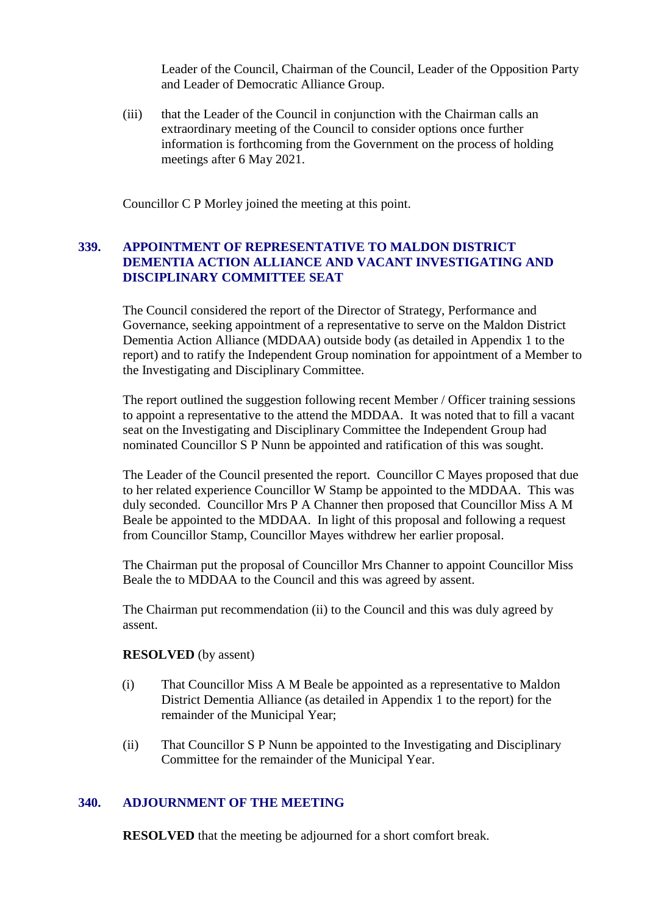Leader of the Council, Chairman of the Council, Leader of the Opposition Party and Leader of Democratic Alliance Group.

(iii) that the Leader of the Council in conjunction with the Chairman calls an extraordinary meeting of the Council to consider options once further information is forthcoming from the Government on the process of holding meetings after 6 May 2021.

Councillor C P Morley joined the meeting at this point.

# **339. APPOINTMENT OF REPRESENTATIVE TO MALDON DISTRICT DEMENTIA ACTION ALLIANCE AND VACANT INVESTIGATING AND DISCIPLINARY COMMITTEE SEAT**

The Council considered the report of the Director of Strategy, Performance and Governance, seeking appointment of a representative to serve on the Maldon District Dementia Action Alliance (MDDAA) outside body (as detailed in Appendix 1 to the report) and to ratify the Independent Group nomination for appointment of a Member to the Investigating and Disciplinary Committee.

The report outlined the suggestion following recent Member / Officer training sessions to appoint a representative to the attend the MDDAA. It was noted that to fill a vacant seat on the Investigating and Disciplinary Committee the Independent Group had nominated Councillor S P Nunn be appointed and ratification of this was sought.

The Leader of the Council presented the report. Councillor C Mayes proposed that due to her related experience Councillor W Stamp be appointed to the MDDAA. This was duly seconded. Councillor Mrs P A Channer then proposed that Councillor Miss A M Beale be appointed to the MDDAA. In light of this proposal and following a request from Councillor Stamp, Councillor Mayes withdrew her earlier proposal.

The Chairman put the proposal of Councillor Mrs Channer to appoint Councillor Miss Beale the to MDDAA to the Council and this was agreed by assent.

The Chairman put recommendation (ii) to the Council and this was duly agreed by assent.

#### **RESOLVED** (by assent)

- (i) That Councillor Miss A M Beale be appointed as a representative to Maldon District Dementia Alliance (as detailed in Appendix 1 to the report) for the remainder of the Municipal Year;
- (ii) That Councillor S P Nunn be appointed to the Investigating and Disciplinary Committee for the remainder of the Municipal Year.

#### **340. ADJOURNMENT OF THE MEETING**

**RESOLVED** that the meeting be adjourned for a short comfort break.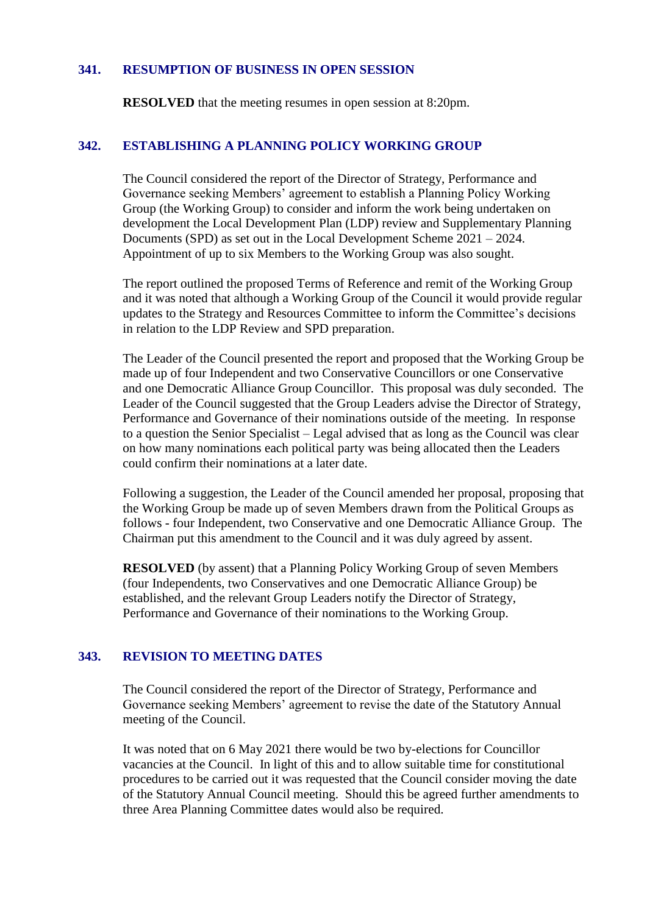#### **341. RESUMPTION OF BUSINESS IN OPEN SESSION**

**RESOLVED** that the meeting resumes in open session at 8:20pm.

#### **342. ESTABLISHING A PLANNING POLICY WORKING GROUP**

The Council considered the report of the Director of Strategy, Performance and Governance seeking Members' agreement to establish a Planning Policy Working Group (the Working Group) to consider and inform the work being undertaken on development the Local Development Plan (LDP) review and Supplementary Planning Documents (SPD) as set out in the Local Development Scheme 2021 – 2024. Appointment of up to six Members to the Working Group was also sought.

The report outlined the proposed Terms of Reference and remit of the Working Group and it was noted that although a Working Group of the Council it would provide regular updates to the Strategy and Resources Committee to inform the Committee's decisions in relation to the LDP Review and SPD preparation.

The Leader of the Council presented the report and proposed that the Working Group be made up of four Independent and two Conservative Councillors or one Conservative and one Democratic Alliance Group Councillor. This proposal was duly seconded. The Leader of the Council suggested that the Group Leaders advise the Director of Strategy, Performance and Governance of their nominations outside of the meeting. In response to a question the Senior Specialist – Legal advised that as long as the Council was clear on how many nominations each political party was being allocated then the Leaders could confirm their nominations at a later date.

Following a suggestion, the Leader of the Council amended her proposal, proposing that the Working Group be made up of seven Members drawn from the Political Groups as follows - four Independent, two Conservative and one Democratic Alliance Group. The Chairman put this amendment to the Council and it was duly agreed by assent.

**RESOLVED** (by assent) that a Planning Policy Working Group of seven Members (four Independents, two Conservatives and one Democratic Alliance Group) be established, and the relevant Group Leaders notify the Director of Strategy, Performance and Governance of their nominations to the Working Group.

#### **343. REVISION TO MEETING DATES**

The Council considered the report of the Director of Strategy, Performance and Governance seeking Members' agreement to revise the date of the Statutory Annual meeting of the Council.

It was noted that on 6 May 2021 there would be two by-elections for Councillor vacancies at the Council. In light of this and to allow suitable time for constitutional procedures to be carried out it was requested that the Council consider moving the date of the Statutory Annual Council meeting. Should this be agreed further amendments to three Area Planning Committee dates would also be required.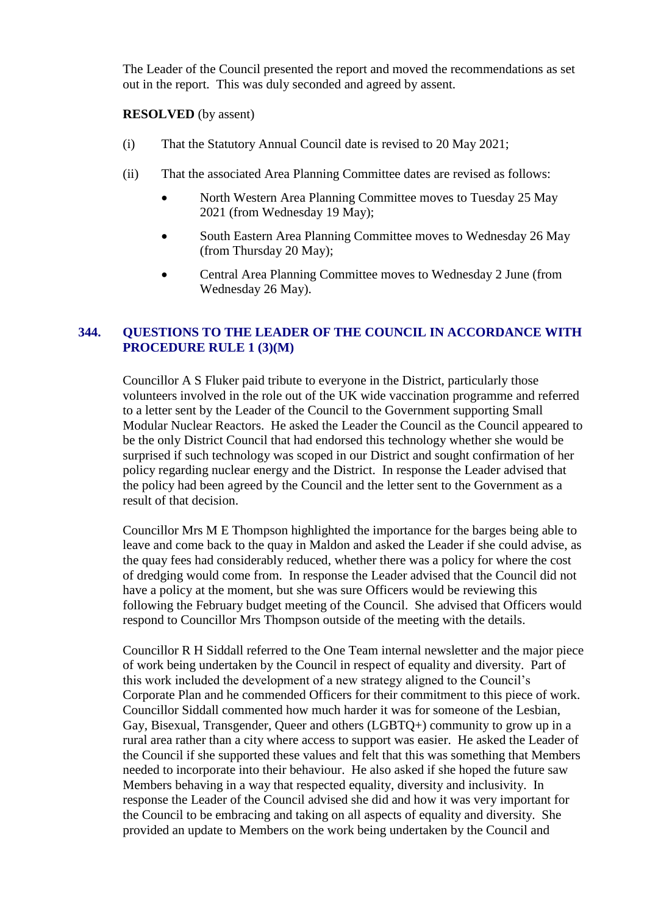The Leader of the Council presented the report and moved the recommendations as set out in the report. This was duly seconded and agreed by assent.

### **RESOLVED** (by assent)

- (i) That the Statutory Annual Council date is revised to 20 May 2021;
- (ii) That the associated Area Planning Committee dates are revised as follows:
	- North Western Area Planning Committee moves to Tuesday 25 May 2021 (from Wednesday 19 May);
	- South Eastern Area Planning Committee moves to Wednesday 26 May (from Thursday 20 May);
	- Central Area Planning Committee moves to Wednesday 2 June (from Wednesday 26 May).

# **344. QUESTIONS TO THE LEADER OF THE COUNCIL IN ACCORDANCE WITH PROCEDURE RULE 1 (3)(M)**

Councillor A S Fluker paid tribute to everyone in the District, particularly those volunteers involved in the role out of the UK wide vaccination programme and referred to a letter sent by the Leader of the Council to the Government supporting Small Modular Nuclear Reactors. He asked the Leader the Council as the Council appeared to be the only District Council that had endorsed this technology whether she would be surprised if such technology was scoped in our District and sought confirmation of her policy regarding nuclear energy and the District. In response the Leader advised that the policy had been agreed by the Council and the letter sent to the Government as a result of that decision.

Councillor Mrs M E Thompson highlighted the importance for the barges being able to leave and come back to the quay in Maldon and asked the Leader if she could advise, as the quay fees had considerably reduced, whether there was a policy for where the cost of dredging would come from. In response the Leader advised that the Council did not have a policy at the moment, but she was sure Officers would be reviewing this following the February budget meeting of the Council. She advised that Officers would respond to Councillor Mrs Thompson outside of the meeting with the details.

Councillor R H Siddall referred to the One Team internal newsletter and the major piece of work being undertaken by the Council in respect of equality and diversity. Part of this work included the development of a new strategy aligned to the Council's Corporate Plan and he commended Officers for their commitment to this piece of work. Councillor Siddall commented how much harder it was for someone of the Lesbian, Gay, Bisexual, Transgender, Queer and others (LGBTQ+) community to grow up in a rural area rather than a city where access to support was easier. He asked the Leader of the Council if she supported these values and felt that this was something that Members needed to incorporate into their behaviour. He also asked if she hoped the future saw Members behaving in a way that respected equality, diversity and inclusivity. In response the Leader of the Council advised she did and how it was very important for the Council to be embracing and taking on all aspects of equality and diversity. She provided an update to Members on the work being undertaken by the Council and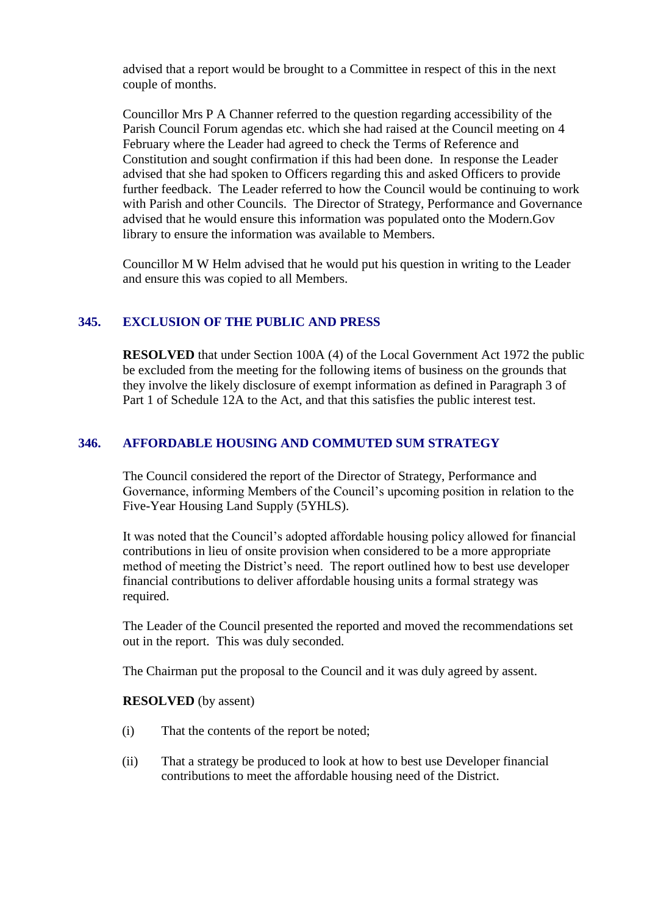advised that a report would be brought to a Committee in respect of this in the next couple of months.

Councillor Mrs P A Channer referred to the question regarding accessibility of the Parish Council Forum agendas etc. which she had raised at the Council meeting on 4 February where the Leader had agreed to check the Terms of Reference and Constitution and sought confirmation if this had been done. In response the Leader advised that she had spoken to Officers regarding this and asked Officers to provide further feedback. The Leader referred to how the Council would be continuing to work with Parish and other Councils. The Director of Strategy, Performance and Governance advised that he would ensure this information was populated onto the Modern.Gov library to ensure the information was available to Members.

Councillor M W Helm advised that he would put his question in writing to the Leader and ensure this was copied to all Members.

# **345. EXCLUSION OF THE PUBLIC AND PRESS**

**RESOLVED** that under Section 100A (4) of the Local Government Act 1972 the public be excluded from the meeting for the following items of business on the grounds that they involve the likely disclosure of exempt information as defined in Paragraph 3 of Part 1 of Schedule 12A to the Act, and that this satisfies the public interest test.

# **346. AFFORDABLE HOUSING AND COMMUTED SUM STRATEGY**

The Council considered the report of the Director of Strategy, Performance and Governance, informing Members of the Council's upcoming position in relation to the Five-Year Housing Land Supply (5YHLS).

It was noted that the Council's adopted affordable housing policy allowed for financial contributions in lieu of onsite provision when considered to be a more appropriate method of meeting the District's need. The report outlined how to best use developer financial contributions to deliver affordable housing units a formal strategy was required.

The Leader of the Council presented the reported and moved the recommendations set out in the report. This was duly seconded.

The Chairman put the proposal to the Council and it was duly agreed by assent.

# **RESOLVED** (by assent)

- (i) That the contents of the report be noted;
- (ii) That a strategy be produced to look at how to best use Developer financial contributions to meet the affordable housing need of the District.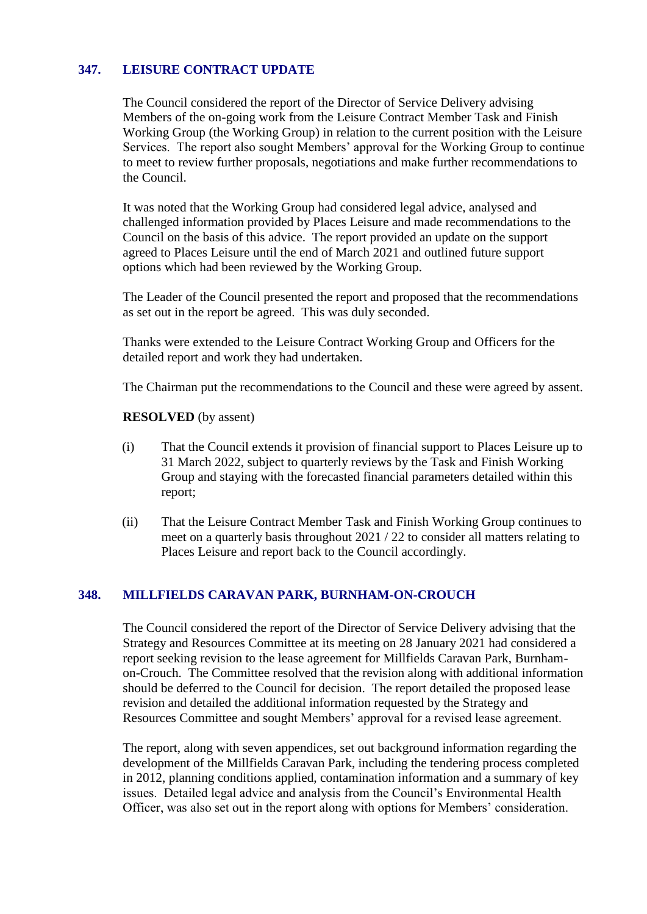# **347. LEISURE CONTRACT UPDATE**

The Council considered the report of the Director of Service Delivery advising Members of the on-going work from the Leisure Contract Member Task and Finish Working Group (the Working Group) in relation to the current position with the Leisure Services. The report also sought Members' approval for the Working Group to continue to meet to review further proposals, negotiations and make further recommendations to the Council.

It was noted that the Working Group had considered legal advice, analysed and challenged information provided by Places Leisure and made recommendations to the Council on the basis of this advice. The report provided an update on the support agreed to Places Leisure until the end of March 2021 and outlined future support options which had been reviewed by the Working Group.

The Leader of the Council presented the report and proposed that the recommendations as set out in the report be agreed. This was duly seconded.

Thanks were extended to the Leisure Contract Working Group and Officers for the detailed report and work they had undertaken.

The Chairman put the recommendations to the Council and these were agreed by assent.

#### **RESOLVED** (by assent)

- (i) That the Council extends it provision of financial support to Places Leisure up to 31 March 2022, subject to quarterly reviews by the Task and Finish Working Group and staying with the forecasted financial parameters detailed within this report;
- (ii) That the Leisure Contract Member Task and Finish Working Group continues to meet on a quarterly basis throughout 2021 / 22 to consider all matters relating to Places Leisure and report back to the Council accordingly.

# **348. MILLFIELDS CARAVAN PARK, BURNHAM-ON-CROUCH**

The Council considered the report of the Director of Service Delivery advising that the Strategy and Resources Committee at its meeting on 28 January 2021 had considered a report seeking revision to the lease agreement for Millfields Caravan Park, Burnhamon-Crouch. The Committee resolved that the revision along with additional information should be deferred to the Council for decision. The report detailed the proposed lease revision and detailed the additional information requested by the Strategy and Resources Committee and sought Members' approval for a revised lease agreement.

The report, along with seven appendices, set out background information regarding the development of the Millfields Caravan Park, including the tendering process completed in 2012, planning conditions applied, contamination information and a summary of key issues. Detailed legal advice and analysis from the Council's Environmental Health Officer, was also set out in the report along with options for Members' consideration.